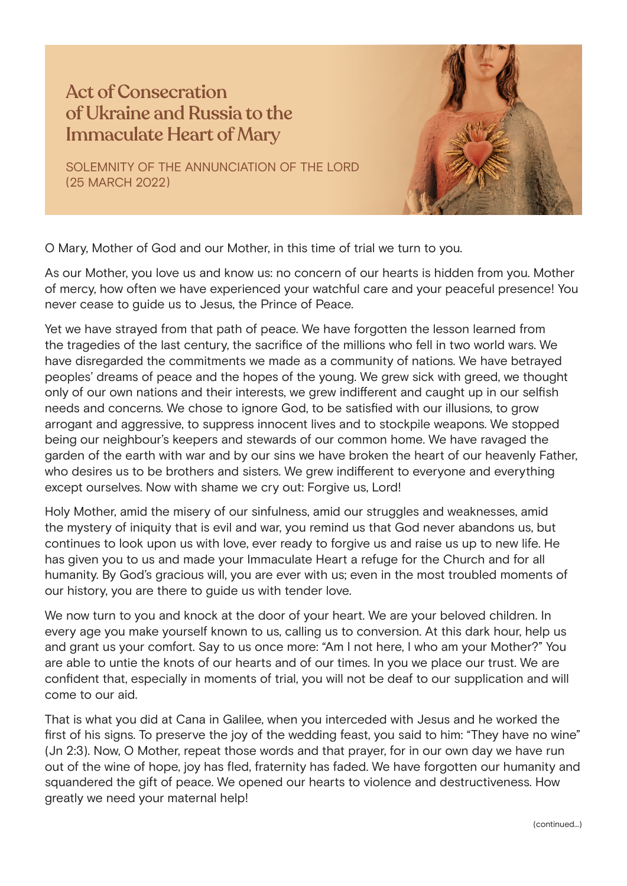## Act of Consecration of Ukraine and Russia to the Immaculate Heart of Mary

SOLEMNITY OF THE ANNUNCIATION OF THE LORD (25 MARCH 2022)



O Mary, Mother of God and our Mother, in this time of trial we turn to you.

As our Mother, you love us and know us: no concern of our hearts is hidden from you. Mother of mercy, how often we have experienced your watchful care and your peaceful presence! You never cease to guide us to Jesus, the Prince of Peace.

Yet we have strayed from that path of peace. We have forgotten the lesson learned from the tragedies of the last century, the sacrifice of the millions who fell in two world wars. We have disregarded the commitments we made as a community of nations. We have betrayed peoples' dreams of peace and the hopes of the young. We grew sick with greed, we thought only of our own nations and their interests, we grew indifferent and caught up in our selfish needs and concerns. We chose to ignore God, to be satisfied with our illusions, to grow arrogant and aggressive, to suppress innocent lives and to stockpile weapons. We stopped being our neighbour's keepers and stewards of our common home. We have ravaged the garden of the earth with war and by our sins we have broken the heart of our heavenly Father, who desires us to be brothers and sisters. We grew indifferent to everyone and everything except ourselves. Now with shame we cry out: Forgive us, Lord!

Holy Mother, amid the misery of our sinfulness, amid our struggles and weaknesses, amid the mystery of iniquity that is evil and war, you remind us that God never abandons us, but continues to look upon us with love, ever ready to forgive us and raise us up to new life. He has given you to us and made your Immaculate Heart a refuge for the Church and for all humanity. By God's gracious will, you are ever with us; even in the most troubled moments of our history, you are there to guide us with tender love.

We now turn to you and knock at the door of your heart. We are your beloved children. In every age you make yourself known to us, calling us to conversion. At this dark hour, help us and grant us your comfort. Say to us once more: "Am I not here, I who am your Mother?" You are able to untie the knots of our hearts and of our times. In you we place our trust. We are confident that, especially in moments of trial, you will not be deaf to our supplication and will come to our aid.

That is what you did at Cana in Galilee, when you interceded with Jesus and he worked the first of his signs. To preserve the joy of the wedding feast, you said to him: "They have no wine" (Jn 2:3). Now, O Mother, repeat those words and that prayer, for in our own day we have run out of the wine of hope, joy has fled, fraternity has faded. We have forgotten our humanity and squandered the gift of peace. We opened our hearts to violence and destructiveness. How greatly we need your maternal help!